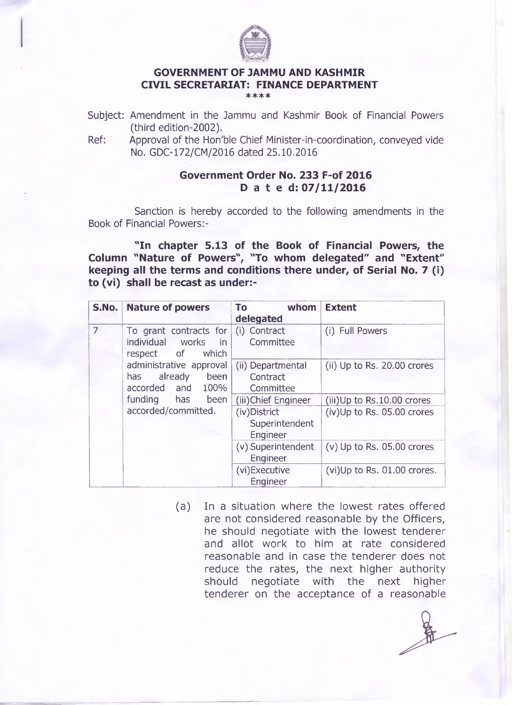

## **GOVERNMENT OF JAMMU AND KASHMIR CIVIL SECRETARIAT: FINANCE DEPARTMENT**

- \*\*\*\*
- Subject: Amendment in the Jammu and Kashmir Book of Financial Powers (third edition-2002).
- Ref: Approval of the Hon'ble Chief Minister-in-coordination, conveyed vide No. GDC-172/CM/2016 dated 25.10.2016

## **Government Order No. 233 F-of 2016 Dated: 07/11/2016**

Sanction is hereby accorded to the following amendments in the Book of Financial Powers:-

**"In chapter 5.13 of the Book of Financial Powers, the Column "Nature of Powers", "To whom delegated" and "Extent" keeping all the terms and conditions there under, of Serial No. 7 (i) to (vi) shall be recast as under:-**

| S.No.          | <b>Nature of powers</b>                                                    | whom<br><b>To</b><br>delegated                                      | <b>Extent</b>                                               |
|----------------|----------------------------------------------------------------------------|---------------------------------------------------------------------|-------------------------------------------------------------|
| $\overline{7}$ | To grant contracts for<br>individual<br>works<br>in<br>respect of<br>which | (i) Contract<br>Committee                                           | (i) Full Powers                                             |
|                | administrative approval<br>already<br>been<br>has<br>accorded and 100%     | (ii) Departmental<br>Contract<br>Committee                          | (ii) Up to Rs. 20.00 crores                                 |
|                | funding has<br>been<br>accorded/committed.                                 | (iii) Chief Engineer<br>(iv) District<br>Superintendent<br>Engineer | $(iii)$ Up to Rs.10.00 crores<br>(iv)Up to Rs. 05.00 crores |
|                |                                                                            | (v) Superintendent<br>Engineer                                      | $(v)$ Up to Rs. 05.00 crores                                |
|                |                                                                            | (vi)Executive<br>Engineer                                           | (vi)Up to Rs. 01.00 crores.                                 |

(a) In a situation where the lowest rates offered are not considered reasonable by the Officers, he should negotiate with the lowest tenderer and allot work to him at rate considered reasonable and in case the tenderer does not reduce the rates, the next higher authority should negotiate with the next higher tenderer on the acceptance of a reasonable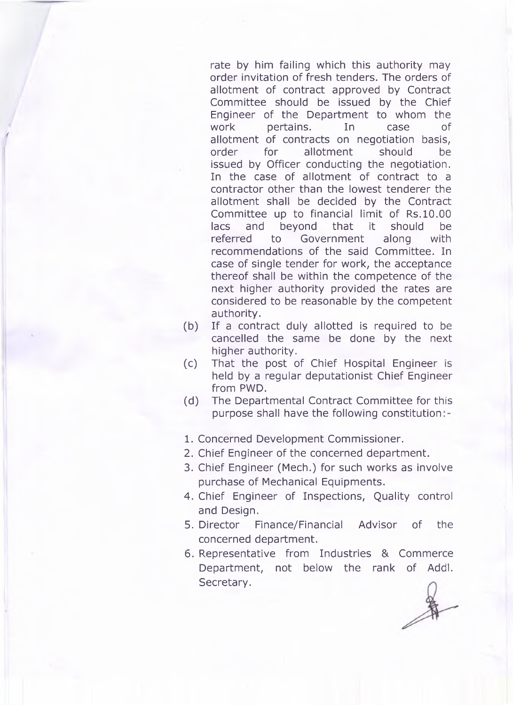rate by him failing which this authority may order invitation of fresh tenders. The orders of allotment of contract approved by Contract Committee should be issued by the Chief Engineer of the Department to whom the work pertains. In case of allotment of contracts on negotiation basis, order for allotment should be issued by Officer conducting the negotiation. In the case of allotment of contract to a contractor other than the lowest tenderer the allotment shall be decided by the Contract Committee up to financial limit of Rs.10.00 lacs and beyond that it should be referred to Government along with recommendations of the said Committee. In case of single tender for work, the acceptance thereof shall be within the competence of the next higher authority provided the rates are considered to be reasonable by the competent authority.

- (b) If a contract duly allotted is required to be cancelled the same be done by the next higher authority.
- (c) That the post of Chief Hospital Engineer is held by a regular deputationist Chief Engineer from PWD.
- (d) The Departmental Contract Committee for this purpose shall have the following constitution
- 1. Concerned Development Commissioner.
- 2. Chief Engineer of the concerned department.
- 3. Chief Engineer (Mech.) for such works as involve purchase of Mechanical Equipments.
- 4. Chief Engineer of Inspections, Quality control and Design.
- 5. Director Finance/Financial Advisor of the concerned department.
- 6. Representative from Industries & Commerce Department, not below the rank of Addl. Secretary.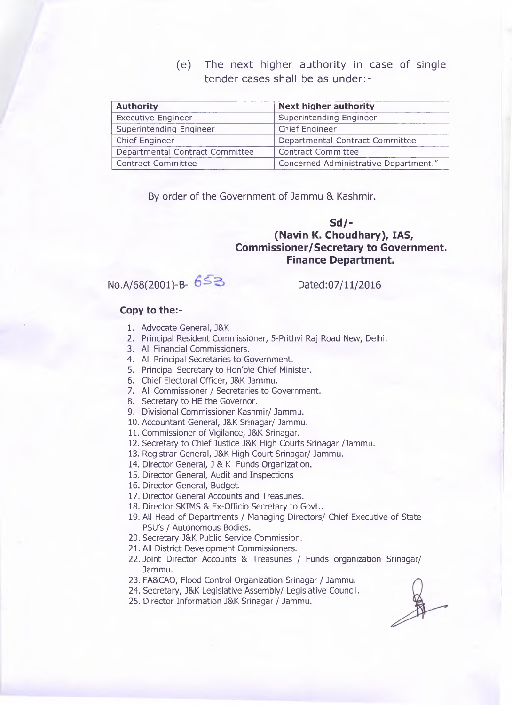(e) The next higher authority in case of single tender cases shall be as under:-

| <b>Authority</b>                | <b>Next higher authority</b>          |  |
|---------------------------------|---------------------------------------|--|
| <b>Executive Engineer</b>       | Superintending Engineer               |  |
| Superintending Engineer         | <b>Chief Engineer</b>                 |  |
| Chief Engineer                  | Departmental Contract Committee       |  |
| Departmental Contract Committee | <b>Contract Committee</b>             |  |
| <b>Contract Committee</b>       | Concerned Administrative Department." |  |

By order of the Government of Jammu & Kashmir.

## **Sd/- (Navin K. Choudhary), IAS, Commissioner/Secretary to Government. Finance Department.**

No.A/68(2001)-B- 653<br>Dated:07/11/2016

## **Copy to the:-**

- 1. Advocate General, J&K
- 2. Principal Resident Commissioner, 5-Prithvi Raj Road New, Delhi.
- 3. All Financial Commissioners.
- 4. All Principal Secretaries to Government.
- 5. Principal Secretary to Hon'ble Chief Minister.
- 6. Chief Electoral Officer, J&K Jammu.
- 7. All Commissioner / Secretaries to Government.
- 8. Secretary to HE the Governor.
- 9. Divisional Commissioner Kashmir/ Jammu.
- 10. Accountant General, J&K Srinagar/ Jammu.
- 11. Commissioner of Vigilance, J&K Srinagar.
- 12. Secretary to Chief Justice J&K High Courts Srinagar /Jammu.
- 13. Registrar General, J&K High Court Srinagar/ Jammu.
- 14. Director General, J & K Funds Organization.
- 15. Director General, Audit and Inspections
- 16. Director General, Budget.
- 17. Director General Accounts and Treasuries.
- 18. Director SKIMS & Ex-Officio Secretary to Govt..
- 19. All Head of Departments / Managing Directors/ Chief Executive of State PSU's / Autonomous Bodies.
- 20. Secretary J&K Public Service Commission.
- 21. All District Development Commissioners.
- 22. Joint Director Accounts & Treasuries / Funds organization Srinagar/ Jammu.
- 23. FA&CAO, Flood Control Organization Srinagar / Jammu.
- 24. Secretary, J&K Legislative Assembly/ Legislative Council.
- 25. Director Information J&K Srinagar / Jammu.